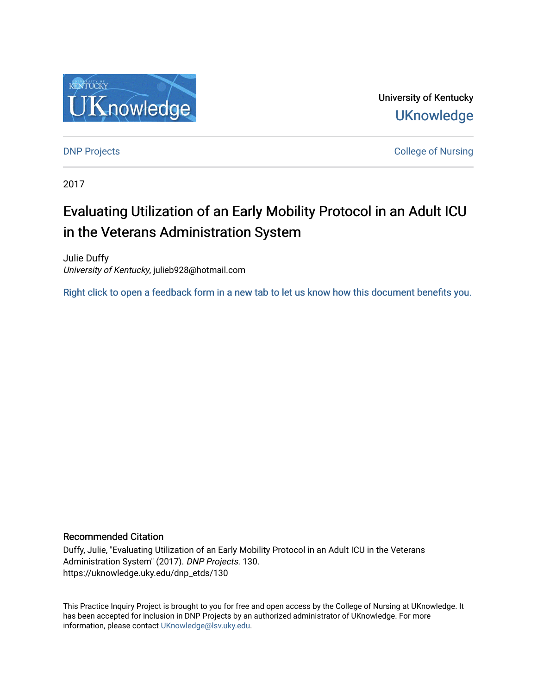

University of Kentucky **UKnowledge** 

**DNP Projects** College of Nursing

2017

# Evaluating Utilization of an Early Mobility Protocol in an Adult ICU in the Veterans Administration System

Julie Duffy University of Kentucky, julieb928@hotmail.com

[Right click to open a feedback form in a new tab to let us know how this document benefits you.](https://uky.az1.qualtrics.com/jfe/form/SV_9mq8fx2GnONRfz7)

#### Recommended Citation

Duffy, Julie, "Evaluating Utilization of an Early Mobility Protocol in an Adult ICU in the Veterans Administration System" (2017). DNP Projects. 130. https://uknowledge.uky.edu/dnp\_etds/130

This Practice Inquiry Project is brought to you for free and open access by the College of Nursing at UKnowledge. It has been accepted for inclusion in DNP Projects by an authorized administrator of UKnowledge. For more information, please contact [UKnowledge@lsv.uky.edu](mailto:UKnowledge@lsv.uky.edu).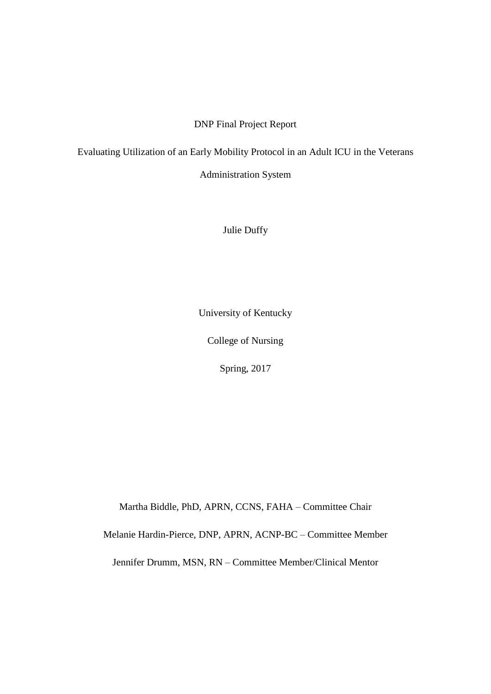### DNP Final Project Report

Evaluating Utilization of an Early Mobility Protocol in an Adult ICU in the Veterans

Administration System

Julie Duffy

University of Kentucky

College of Nursing

Spring, 2017

Martha Biddle, PhD, APRN, CCNS, FAHA – Committee Chair

Melanie Hardin-Pierce, DNP, APRN, ACNP-BC – Committee Member

Jennifer Drumm, MSN, RN – Committee Member/Clinical Mentor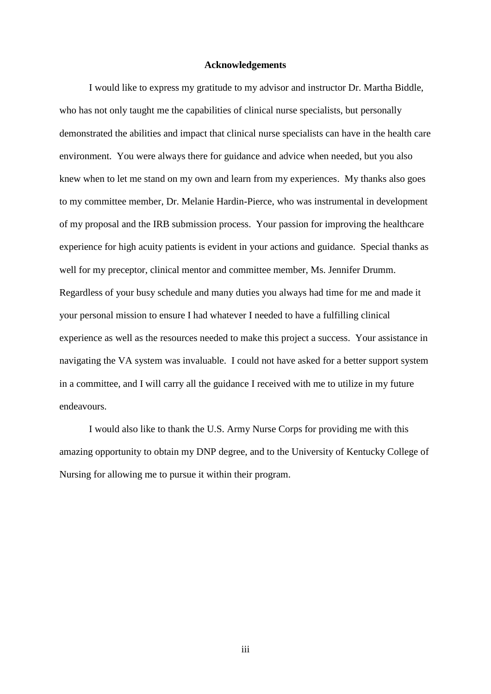#### **Acknowledgements**

I would like to express my gratitude to my advisor and instructor Dr. Martha Biddle, who has not only taught me the capabilities of clinical nurse specialists, but personally demonstrated the abilities and impact that clinical nurse specialists can have in the health care environment. You were always there for guidance and advice when needed, but you also knew when to let me stand on my own and learn from my experiences. My thanks also goes to my committee member, Dr. Melanie Hardin-Pierce, who was instrumental in development of my proposal and the IRB submission process. Your passion for improving the healthcare experience for high acuity patients is evident in your actions and guidance. Special thanks as well for my preceptor, clinical mentor and committee member, Ms. Jennifer Drumm. Regardless of your busy schedule and many duties you always had time for me and made it your personal mission to ensure I had whatever I needed to have a fulfilling clinical experience as well as the resources needed to make this project a success. Your assistance in navigating the VA system was invaluable. I could not have asked for a better support system in a committee, and I will carry all the guidance I received with me to utilize in my future endeavours.

I would also like to thank the U.S. Army Nurse Corps for providing me with this amazing opportunity to obtain my DNP degree, and to the University of Kentucky College of Nursing for allowing me to pursue it within their program.

iii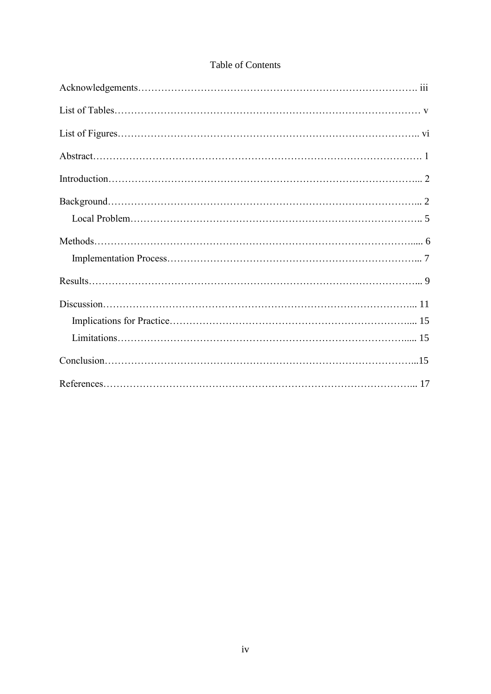## Table of Contents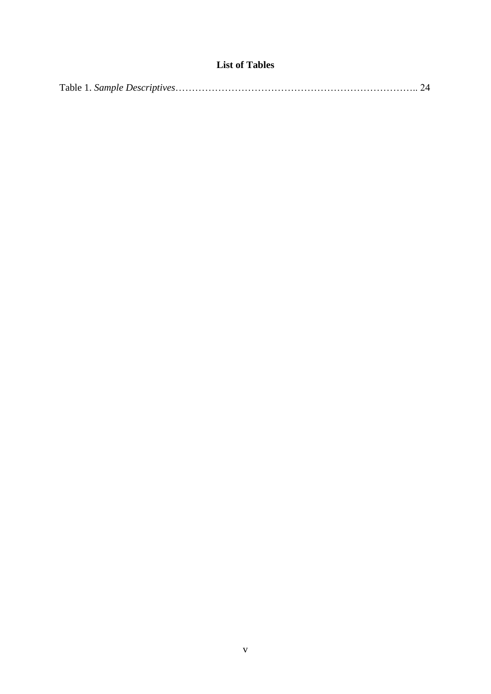### **List of Tables**

|--|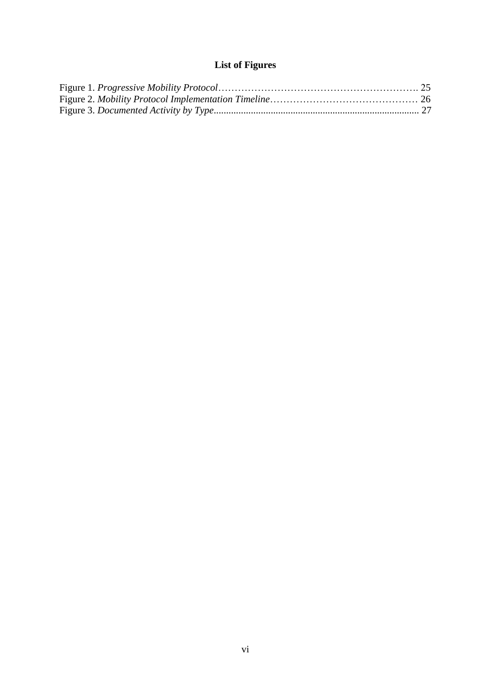## **List of Figures**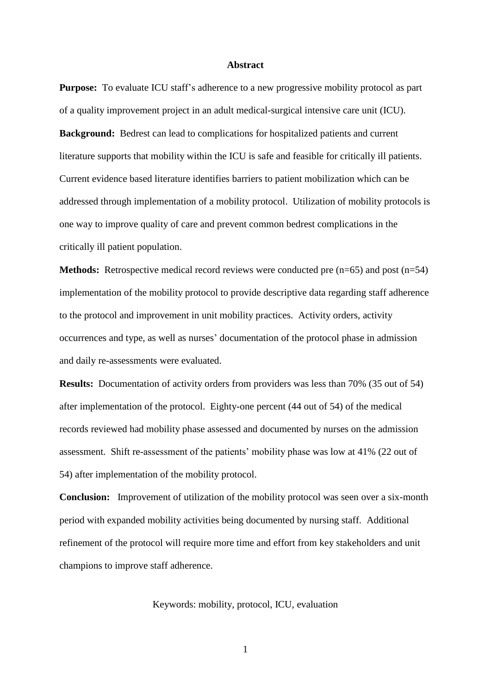#### **Abstract**

**Purpose:** To evaluate ICU staff's adherence to a new progressive mobility protocol as part of a quality improvement project in an adult medical-surgical intensive care unit (ICU). **Background:** Bedrest can lead to complications for hospitalized patients and current literature supports that mobility within the ICU is safe and feasible for critically ill patients. Current evidence based literature identifies barriers to patient mobilization which can be addressed through implementation of a mobility protocol. Utilization of mobility protocols is one way to improve quality of care and prevent common bedrest complications in the critically ill patient population.

**Methods:** Retrospective medical record reviews were conducted pre (n=65) and post (n=54) implementation of the mobility protocol to provide descriptive data regarding staff adherence to the protocol and improvement in unit mobility practices. Activity orders, activity occurrences and type, as well as nurses' documentation of the protocol phase in admission and daily re-assessments were evaluated.

**Results:** Documentation of activity orders from providers was less than 70% (35 out of 54) after implementation of the protocol. Eighty-one percent (44 out of 54) of the medical records reviewed had mobility phase assessed and documented by nurses on the admission assessment. Shift re-assessment of the patients' mobility phase was low at 41% (22 out of 54) after implementation of the mobility protocol.

**Conclusion:** Improvement of utilization of the mobility protocol was seen over a six-month period with expanded mobility activities being documented by nursing staff. Additional refinement of the protocol will require more time and effort from key stakeholders and unit champions to improve staff adherence.

Keywords: mobility, protocol, ICU, evaluation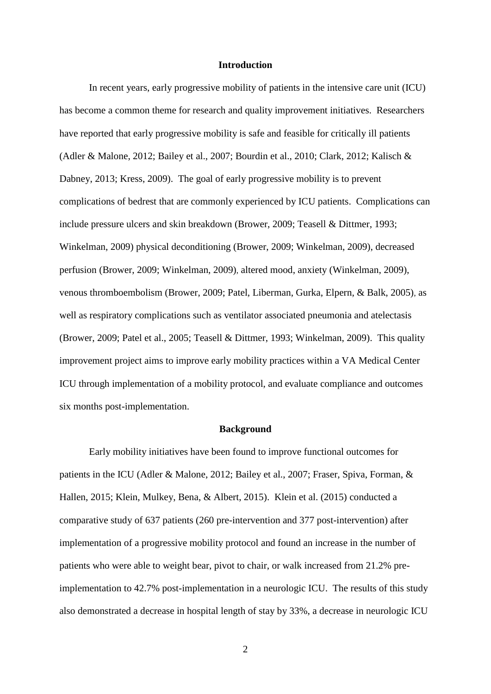#### **Introduction**

In recent years, early progressive mobility of patients in the intensive care unit (ICU) has become a common theme for research and quality improvement initiatives. Researchers have reported that early progressive mobility is safe and feasible for critically ill patients (Adler & Malone, 2012; Bailey et al., 2007; Bourdin et al., 2010; Clark, 2012; Kalisch & Dabney, 2013; Kress, 2009). The goal of early progressive mobility is to prevent complications of bedrest that are commonly experienced by ICU patients. Complications can include pressure ulcers and skin breakdown (Brower, 2009; Teasell & Dittmer, 1993; Winkelman, 2009) physical deconditioning (Brower, 2009; Winkelman, 2009), decreased perfusion (Brower, 2009; Winkelman, 2009), altered mood, anxiety (Winkelman, 2009), venous thromboembolism (Brower, 2009; Patel, Liberman, Gurka, Elpern, & Balk, 2005), as well as respiratory complications such as ventilator associated pneumonia and atelectasis (Brower, 2009; Patel et al., 2005; Teasell & Dittmer, 1993; Winkelman, 2009). This quality improvement project aims to improve early mobility practices within a VA Medical Center ICU through implementation of a mobility protocol, and evaluate compliance and outcomes six months post-implementation.

#### **Background**

Early mobility initiatives have been found to improve functional outcomes for patients in the ICU (Adler & Malone, 2012; Bailey et al., 2007; Fraser, Spiva, Forman, & Hallen, 2015; Klein, Mulkey, Bena, & Albert, 2015). Klein et al. (2015) conducted a comparative study of 637 patients (260 pre-intervention and 377 post-intervention) after implementation of a progressive mobility protocol and found an increase in the number of patients who were able to weight bear, pivot to chair, or walk increased from 21.2% preimplementation to 42.7% post-implementation in a neurologic ICU. The results of this study also demonstrated a decrease in hospital length of stay by 33%, a decrease in neurologic ICU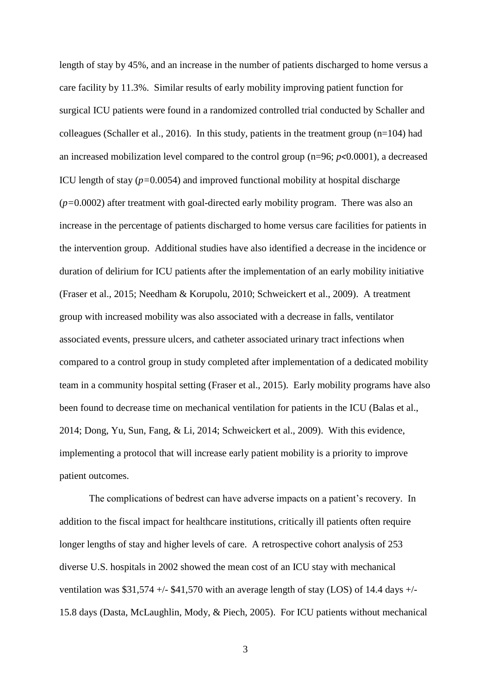length of stay by 45%, and an increase in the number of patients discharged to home versus a care facility by 11.3%. Similar results of early mobility improving patient function for surgical ICU patients were found in a randomized controlled trial conducted by Schaller and colleagues (Schaller et al., 2016). In this study, patients in the treatment group (n=104) had an increased mobilization level compared to the control group (n=96; *p<*0.0001), a decreased ICU length of stay (*p=*0.0054) and improved functional mobility at hospital discharge (*p=*0.0002) after treatment with goal-directed early mobility program. There was also an increase in the percentage of patients discharged to home versus care facilities for patients in the intervention group. Additional studies have also identified a decrease in the incidence or duration of delirium for ICU patients after the implementation of an early mobility initiative (Fraser et al., 2015; Needham & Korupolu, 2010; Schweickert et al., 2009). A treatment group with increased mobility was also associated with a decrease in falls, ventilator associated events, pressure ulcers, and catheter associated urinary tract infections when compared to a control group in study completed after implementation of a dedicated mobility team in a community hospital setting (Fraser et al., 2015). Early mobility programs have also been found to decrease time on mechanical ventilation for patients in the ICU (Balas et al., 2014; Dong, Yu, Sun, Fang, & Li, 2014; Schweickert et al., 2009). With this evidence, implementing a protocol that will increase early patient mobility is a priority to improve patient outcomes.

The complications of bedrest can have adverse impacts on a patient's recovery. In addition to the fiscal impact for healthcare institutions, critically ill patients often require longer lengths of stay and higher levels of care. A retrospective cohort analysis of 253 diverse U.S. hospitals in 2002 showed the mean cost of an ICU stay with mechanical ventilation was  $$31,574 +/- $41,570$  with an average length of stay (LOS) of 14.4 days  $+/-$ 15.8 days (Dasta, McLaughlin, Mody, & Piech, 2005). For ICU patients without mechanical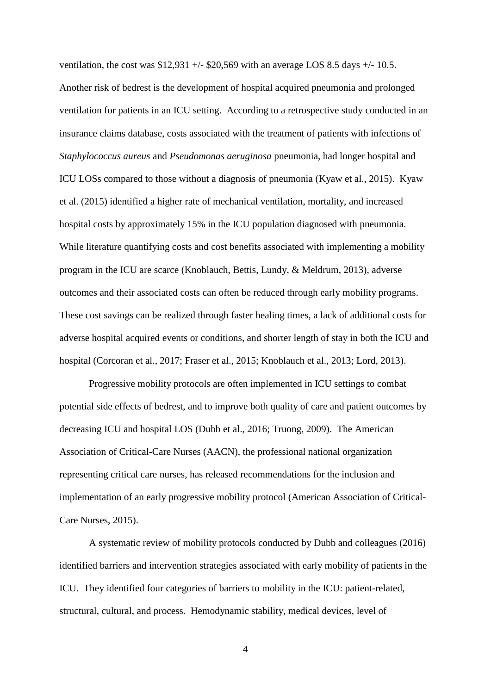ventilation, the cost was  $$12,931 +/- $20,569$  with an average LOS 8.5 days  $+/- 10.5$ . Another risk of bedrest is the development of hospital acquired pneumonia and prolonged ventilation for patients in an ICU setting. According to a retrospective study conducted in an insurance claims database, costs associated with the treatment of patients with infections of *Staphylococcus aureus* and *Pseudomonas aeruginosa* pneumonia, had longer hospital and ICU LOSs compared to those without a diagnosis of pneumonia (Kyaw et al., 2015). Kyaw et al. (2015) identified a higher rate of mechanical ventilation, mortality, and increased hospital costs by approximately 15% in the ICU population diagnosed with pneumonia. While literature quantifying costs and cost benefits associated with implementing a mobility program in the ICU are scarce (Knoblauch, Bettis, Lundy, & Meldrum, 2013), adverse outcomes and their associated costs can often be reduced through early mobility programs. These cost savings can be realized through faster healing times, a lack of additional costs for adverse hospital acquired events or conditions, and shorter length of stay in both the ICU and hospital (Corcoran et al., 2017; Fraser et al., 2015; Knoblauch et al., 2013; Lord, 2013).

Progressive mobility protocols are often implemented in ICU settings to combat potential side effects of bedrest, and to improve both quality of care and patient outcomes by decreasing ICU and hospital LOS (Dubb et al., 2016; Truong, 2009). The American Association of Critical-Care Nurses (AACN), the professional national organization representing critical care nurses, has released recommendations for the inclusion and implementation of an early progressive mobility protocol (American Association of Critical-Care Nurses, 2015).

A systematic review of mobility protocols conducted by Dubb and colleagues (2016) identified barriers and intervention strategies associated with early mobility of patients in the ICU. They identified four categories of barriers to mobility in the ICU: patient-related, structural, cultural, and process. Hemodynamic stability, medical devices, level of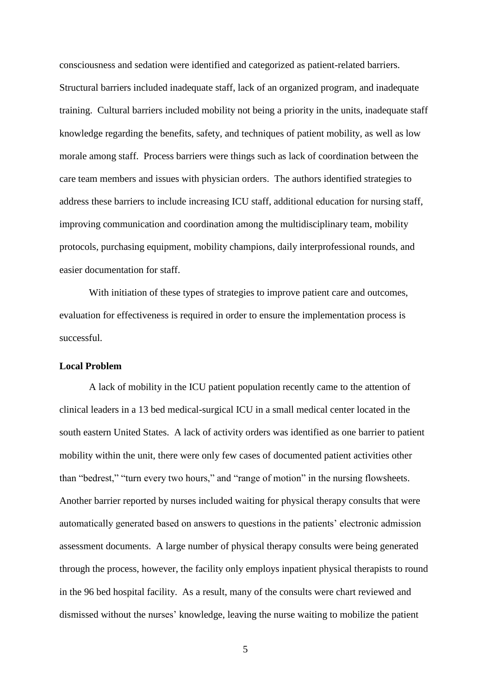consciousness and sedation were identified and categorized as patient-related barriers. Structural barriers included inadequate staff, lack of an organized program, and inadequate training. Cultural barriers included mobility not being a priority in the units, inadequate staff knowledge regarding the benefits, safety, and techniques of patient mobility, as well as low morale among staff. Process barriers were things such as lack of coordination between the care team members and issues with physician orders. The authors identified strategies to address these barriers to include increasing ICU staff, additional education for nursing staff, improving communication and coordination among the multidisciplinary team, mobility protocols, purchasing equipment, mobility champions, daily interprofessional rounds, and easier documentation for staff.

With initiation of these types of strategies to improve patient care and outcomes, evaluation for effectiveness is required in order to ensure the implementation process is successful.

#### **Local Problem**

A lack of mobility in the ICU patient population recently came to the attention of clinical leaders in a 13 bed medical-surgical ICU in a small medical center located in the south eastern United States. A lack of activity orders was identified as one barrier to patient mobility within the unit, there were only few cases of documented patient activities other than "bedrest," "turn every two hours," and "range of motion" in the nursing flowsheets. Another barrier reported by nurses included waiting for physical therapy consults that were automatically generated based on answers to questions in the patients' electronic admission assessment documents. A large number of physical therapy consults were being generated through the process, however, the facility only employs inpatient physical therapists to round in the 96 bed hospital facility. As a result, many of the consults were chart reviewed and dismissed without the nurses' knowledge, leaving the nurse waiting to mobilize the patient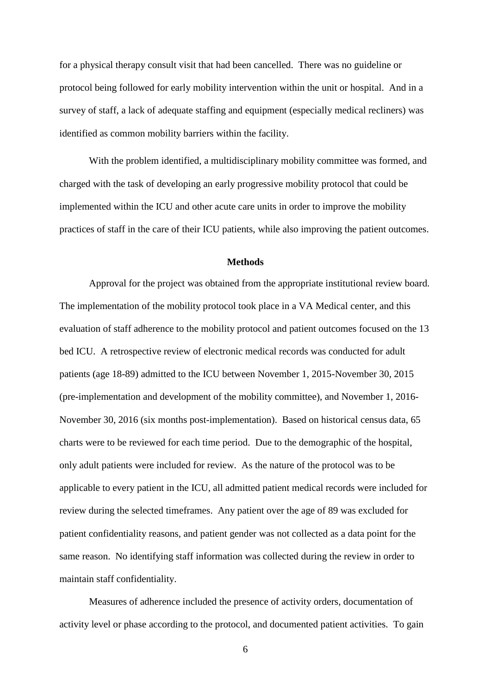for a physical therapy consult visit that had been cancelled. There was no guideline or protocol being followed for early mobility intervention within the unit or hospital. And in a survey of staff, a lack of adequate staffing and equipment (especially medical recliners) was identified as common mobility barriers within the facility.

With the problem identified, a multidisciplinary mobility committee was formed, and charged with the task of developing an early progressive mobility protocol that could be implemented within the ICU and other acute care units in order to improve the mobility practices of staff in the care of their ICU patients, while also improving the patient outcomes.

#### **Methods**

Approval for the project was obtained from the appropriate institutional review board. The implementation of the mobility protocol took place in a VA Medical center, and this evaluation of staff adherence to the mobility protocol and patient outcomes focused on the 13 bed ICU. A retrospective review of electronic medical records was conducted for adult patients (age 18-89) admitted to the ICU between November 1, 2015-November 30, 2015 (pre-implementation and development of the mobility committee), and November 1, 2016- November 30, 2016 (six months post-implementation). Based on historical census data, 65 charts were to be reviewed for each time period. Due to the demographic of the hospital, only adult patients were included for review. As the nature of the protocol was to be applicable to every patient in the ICU, all admitted patient medical records were included for review during the selected timeframes. Any patient over the age of 89 was excluded for patient confidentiality reasons, and patient gender was not collected as a data point for the same reason. No identifying staff information was collected during the review in order to maintain staff confidentiality.

Measures of adherence included the presence of activity orders, documentation of activity level or phase according to the protocol, and documented patient activities. To gain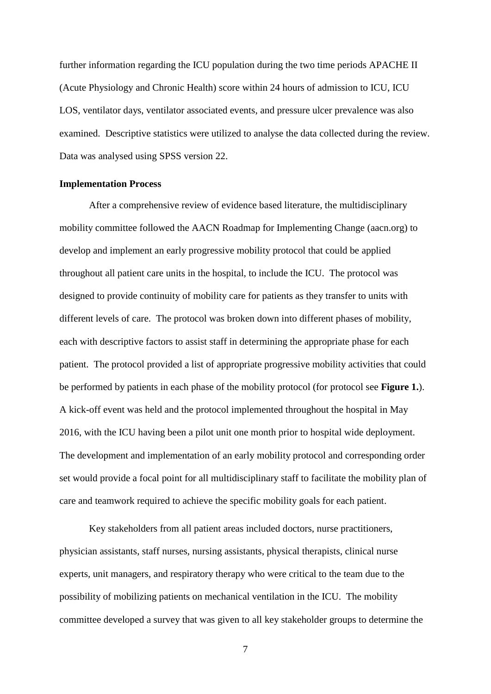further information regarding the ICU population during the two time periods APACHE II (Acute Physiology and Chronic Health) score within 24 hours of admission to ICU, ICU LOS, ventilator days, ventilator associated events, and pressure ulcer prevalence was also examined. Descriptive statistics were utilized to analyse the data collected during the review. Data was analysed using SPSS version 22.

#### **Implementation Process**

 After a comprehensive review of evidence based literature, the multidisciplinary mobility committee followed the AACN Roadmap for Implementing Change (aacn.org) to develop and implement an early progressive mobility protocol that could be applied throughout all patient care units in the hospital, to include the ICU. The protocol was designed to provide continuity of mobility care for patients as they transfer to units with different levels of care. The protocol was broken down into different phases of mobility, each with descriptive factors to assist staff in determining the appropriate phase for each patient. The protocol provided a list of appropriate progressive mobility activities that could be performed by patients in each phase of the mobility protocol (for protocol see **Figure 1.**). A kick-off event was held and the protocol implemented throughout the hospital in May 2016, with the ICU having been a pilot unit one month prior to hospital wide deployment. The development and implementation of an early mobility protocol and corresponding order set would provide a focal point for all multidisciplinary staff to facilitate the mobility plan of care and teamwork required to achieve the specific mobility goals for each patient.

Key stakeholders from all patient areas included doctors, nurse practitioners, physician assistants, staff nurses, nursing assistants, physical therapists, clinical nurse experts, unit managers, and respiratory therapy who were critical to the team due to the possibility of mobilizing patients on mechanical ventilation in the ICU. The mobility committee developed a survey that was given to all key stakeholder groups to determine the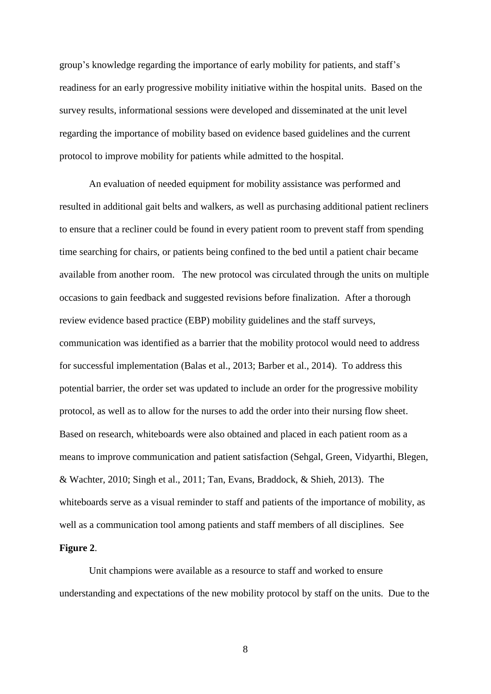group's knowledge regarding the importance of early mobility for patients, and staff's readiness for an early progressive mobility initiative within the hospital units. Based on the survey results, informational sessions were developed and disseminated at the unit level regarding the importance of mobility based on evidence based guidelines and the current protocol to improve mobility for patients while admitted to the hospital.

An evaluation of needed equipment for mobility assistance was performed and resulted in additional gait belts and walkers, as well as purchasing additional patient recliners to ensure that a recliner could be found in every patient room to prevent staff from spending time searching for chairs, or patients being confined to the bed until a patient chair became available from another room. The new protocol was circulated through the units on multiple occasions to gain feedback and suggested revisions before finalization. After a thorough review evidence based practice (EBP) mobility guidelines and the staff surveys, communication was identified as a barrier that the mobility protocol would need to address for successful implementation (Balas et al., 2013; Barber et al., 2014). To address this potential barrier, the order set was updated to include an order for the progressive mobility protocol, as well as to allow for the nurses to add the order into their nursing flow sheet. Based on research, whiteboards were also obtained and placed in each patient room as a means to improve communication and patient satisfaction (Sehgal, Green, Vidyarthi, Blegen, & Wachter, 2010; Singh et al., 2011; Tan, Evans, Braddock, & Shieh, 2013). The whiteboards serve as a visual reminder to staff and patients of the importance of mobility, as well as a communication tool among patients and staff members of all disciplines. See

#### **Figure 2**.

Unit champions were available as a resource to staff and worked to ensure understanding and expectations of the new mobility protocol by staff on the units. Due to the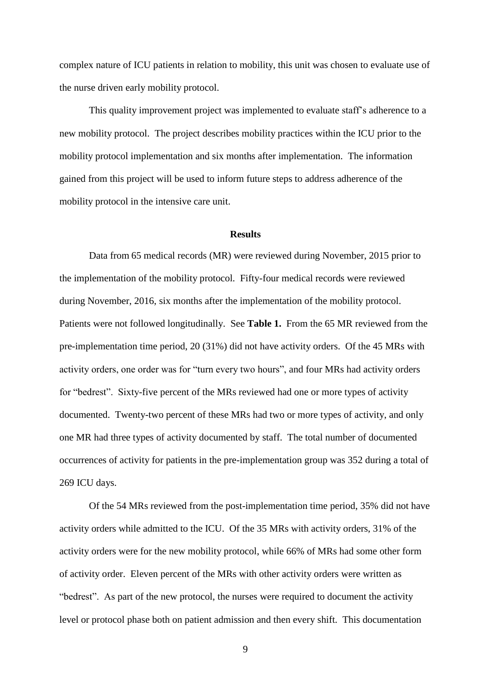complex nature of ICU patients in relation to mobility, this unit was chosen to evaluate use of the nurse driven early mobility protocol.

This quality improvement project was implemented to evaluate staff's adherence to a new mobility protocol. The project describes mobility practices within the ICU prior to the mobility protocol implementation and six months after implementation. The information gained from this project will be used to inform future steps to address adherence of the mobility protocol in the intensive care unit.

#### **Results**

Data from 65 medical records (MR) were reviewed during November, 2015 prior to the implementation of the mobility protocol. Fifty-four medical records were reviewed during November, 2016, six months after the implementation of the mobility protocol. Patients were not followed longitudinally. See **Table 1.** From the 65 MR reviewed from the pre-implementation time period, 20 (31%) did not have activity orders. Of the 45 MRs with activity orders, one order was for "turn every two hours", and four MRs had activity orders for "bedrest". Sixty-five percent of the MRs reviewed had one or more types of activity documented. Twenty-two percent of these MRs had two or more types of activity, and only one MR had three types of activity documented by staff. The total number of documented occurrences of activity for patients in the pre-implementation group was 352 during a total of 269 ICU days.

Of the 54 MRs reviewed from the post-implementation time period, 35% did not have activity orders while admitted to the ICU. Of the 35 MRs with activity orders, 31% of the activity orders were for the new mobility protocol, while 66% of MRs had some other form of activity order. Eleven percent of the MRs with other activity orders were written as "bedrest". As part of the new protocol, the nurses were required to document the activity level or protocol phase both on patient admission and then every shift. This documentation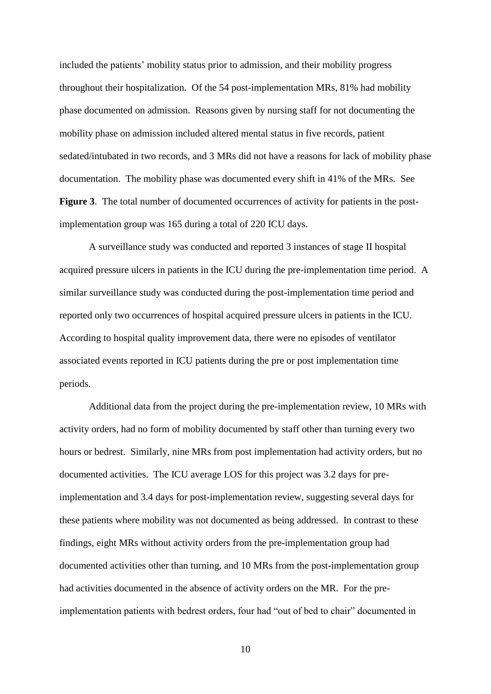included the patients' mobility status prior to admission, and their mobility progress throughout their hospitalization. Of the 54 post-implementation MRs, 81% had mobility phase documented on admission. Reasons given by nursing staff for not documenting the mobility phase on admission included altered mental status in five records, patient sedated/intubated in two records, and 3 MRs did not have a reasons for lack of mobility phase documentation. The mobility phase was documented every shift in 41% of the MRs. See **Figure 3**. The total number of documented occurrences of activity for patients in the postimplementation group was 165 during a total of 220 ICU days.

A surveillance study was conducted and reported 3 instances of stage II hospital acquired pressure ulcers in patients in the ICU during the pre-implementation time period. A similar surveillance study was conducted during the post-implementation time period and reported only two occurrences of hospital acquired pressure ulcers in patients in the ICU. According to hospital quality improvement data, there were no episodes of ventilator associated events reported in ICU patients during the pre or post implementation time periods.

Additional data from the project during the pre-implementation review, 10 MRs with activity orders, had no form of mobility documented by staff other than turning every two hours or bedrest. Similarly, nine MRs from post implementation had activity orders, but no documented activities. The ICU average LOS for this project was 3.2 days for preimplementation and 3.4 days for post-implementation review, suggesting several days for these patients where mobility was not documented as being addressed. In contrast to these findings, eight MRs without activity orders from the pre-implementation group had documented activities other than turning, and 10 MRs from the post-implementation group had activities documented in the absence of activity orders on the MR. For the preimplementation patients with bedrest orders, four had "out of bed to chair" documented in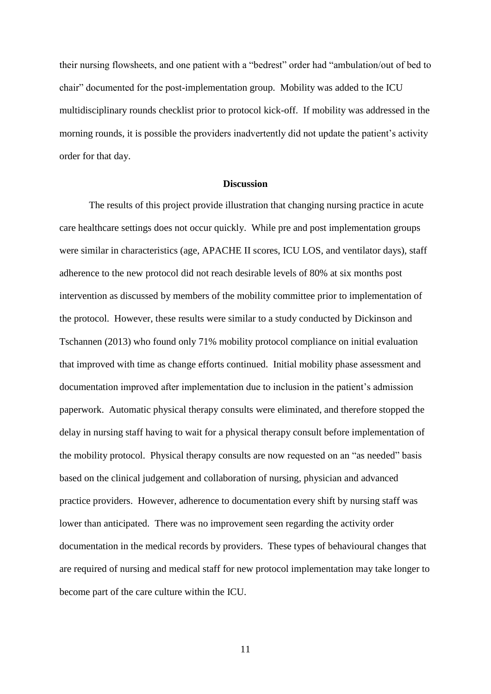their nursing flowsheets, and one patient with a "bedrest" order had "ambulation/out of bed to chair" documented for the post-implementation group. Mobility was added to the ICU multidisciplinary rounds checklist prior to protocol kick-off. If mobility was addressed in the morning rounds, it is possible the providers inadvertently did not update the patient's activity order for that day.

#### **Discussion**

The results of this project provide illustration that changing nursing practice in acute care healthcare settings does not occur quickly. While pre and post implementation groups were similar in characteristics (age, APACHE II scores, ICU LOS, and ventilator days), staff adherence to the new protocol did not reach desirable levels of 80% at six months post intervention as discussed by members of the mobility committee prior to implementation of the protocol. However, these results were similar to a study conducted by Dickinson and Tschannen (2013) who found only 71% mobility protocol compliance on initial evaluation that improved with time as change efforts continued. Initial mobility phase assessment and documentation improved after implementation due to inclusion in the patient's admission paperwork. Automatic physical therapy consults were eliminated, and therefore stopped the delay in nursing staff having to wait for a physical therapy consult before implementation of the mobility protocol. Physical therapy consults are now requested on an "as needed" basis based on the clinical judgement and collaboration of nursing, physician and advanced practice providers. However, adherence to documentation every shift by nursing staff was lower than anticipated. There was no improvement seen regarding the activity order documentation in the medical records by providers. These types of behavioural changes that are required of nursing and medical staff for new protocol implementation may take longer to become part of the care culture within the ICU.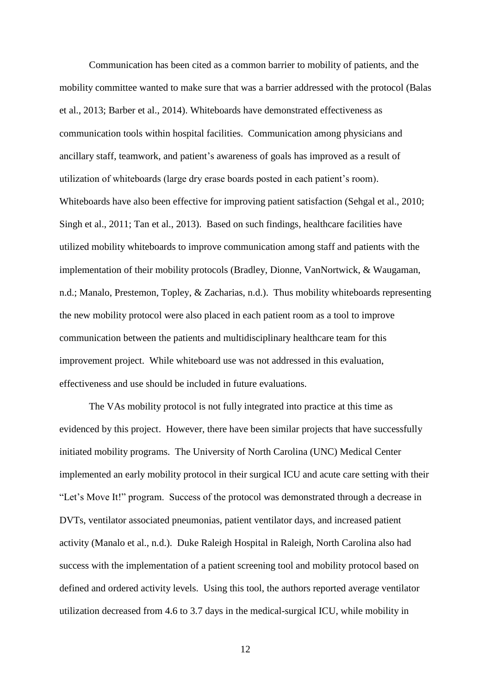Communication has been cited as a common barrier to mobility of patients, and the mobility committee wanted to make sure that was a barrier addressed with the protocol (Balas et al., 2013; Barber et al., 2014). Whiteboards have demonstrated effectiveness as communication tools within hospital facilities. Communication among physicians and ancillary staff, teamwork, and patient's awareness of goals has improved as a result of utilization of whiteboards (large dry erase boards posted in each patient's room). Whiteboards have also been effective for improving patient satisfaction (Sehgal et al., 2010; Singh et al., 2011; Tan et al., 2013). Based on such findings, healthcare facilities have utilized mobility whiteboards to improve communication among staff and patients with the implementation of their mobility protocols (Bradley, Dionne, VanNortwick, & Waugaman, n.d.; Manalo, Prestemon, Topley, & Zacharias, n.d.). Thus mobility whiteboards representing the new mobility protocol were also placed in each patient room as a tool to improve communication between the patients and multidisciplinary healthcare team for this improvement project. While whiteboard use was not addressed in this evaluation, effectiveness and use should be included in future evaluations.

The VAs mobility protocol is not fully integrated into practice at this time as evidenced by this project. However, there have been similar projects that have successfully initiated mobility programs. The University of North Carolina (UNC) Medical Center implemented an early mobility protocol in their surgical ICU and acute care setting with their "Let's Move It!" program. Success of the protocol was demonstrated through a decrease in DVTs, ventilator associated pneumonias, patient ventilator days, and increased patient activity (Manalo et al., n.d.). Duke Raleigh Hospital in Raleigh, North Carolina also had success with the implementation of a patient screening tool and mobility protocol based on defined and ordered activity levels. Using this tool, the authors reported average ventilator utilization decreased from 4.6 to 3.7 days in the medical-surgical ICU, while mobility in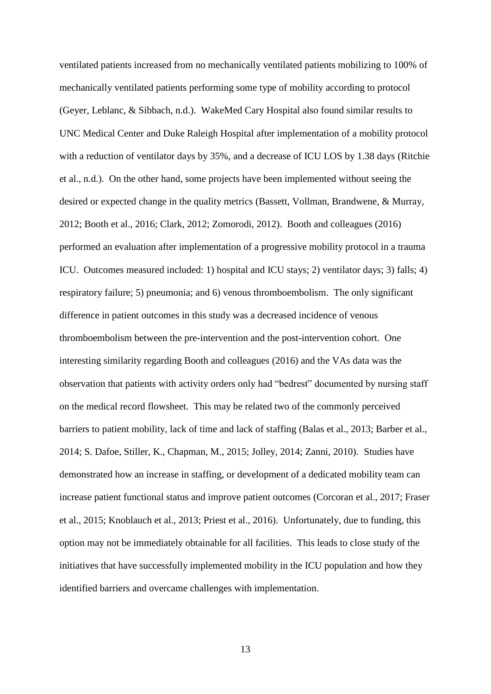ventilated patients increased from no mechanically ventilated patients mobilizing to 100% of mechanically ventilated patients performing some type of mobility according to protocol (Geyer, Leblanc, & Sibbach, n.d.). WakeMed Cary Hospital also found similar results to UNC Medical Center and Duke Raleigh Hospital after implementation of a mobility protocol with a reduction of ventilator days by 35%, and a decrease of ICU LOS by 1.38 days (Ritchie et al., n.d.). On the other hand, some projects have been implemented without seeing the desired or expected change in the quality metrics (Bassett, Vollman, Brandwene, & Murray, 2012; Booth et al., 2016; Clark, 2012; Zomorodi, 2012). Booth and colleagues (2016) performed an evaluation after implementation of a progressive mobility protocol in a trauma ICU. Outcomes measured included: 1) hospital and ICU stays; 2) ventilator days; 3) falls; 4) respiratory failure; 5) pneumonia; and 6) venous thromboembolism. The only significant difference in patient outcomes in this study was a decreased incidence of venous thromboembolism between the pre-intervention and the post-intervention cohort. One interesting similarity regarding Booth and colleagues (2016) and the VAs data was the observation that patients with activity orders only had "bedrest" documented by nursing staff on the medical record flowsheet. This may be related two of the commonly perceived barriers to patient mobility, lack of time and lack of staffing (Balas et al., 2013; Barber et al., 2014; S. Dafoe, Stiller, K., Chapman, M., 2015; Jolley, 2014; Zanni, 2010). Studies have demonstrated how an increase in staffing, or development of a dedicated mobility team can increase patient functional status and improve patient outcomes (Corcoran et al., 2017; Fraser et al., 2015; Knoblauch et al., 2013; Priest et al., 2016). Unfortunately, due to funding, this option may not be immediately obtainable for all facilities. This leads to close study of the initiatives that have successfully implemented mobility in the ICU population and how they identified barriers and overcame challenges with implementation.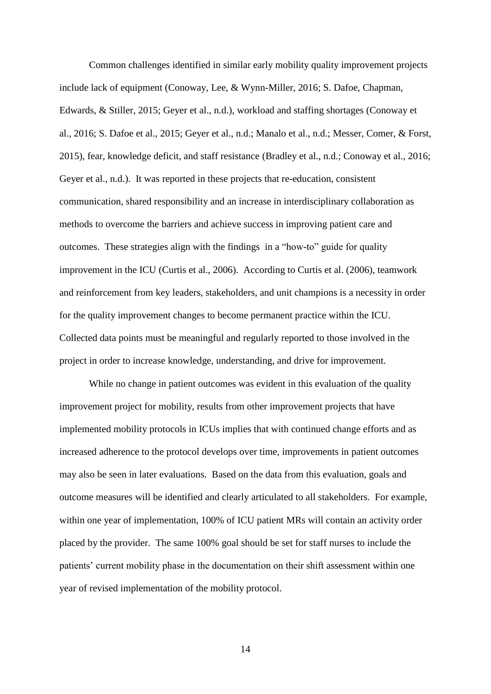Common challenges identified in similar early mobility quality improvement projects include lack of equipment (Conoway, Lee, & Wynn-Miller, 2016; S. Dafoe, Chapman, Edwards, & Stiller, 2015; Geyer et al., n.d.), workload and staffing shortages (Conoway et al., 2016; S. Dafoe et al., 2015; Geyer et al., n.d.; Manalo et al., n.d.; Messer, Comer, & Forst, 2015), fear, knowledge deficit, and staff resistance (Bradley et al., n.d.; Conoway et al., 2016; Geyer et al., n.d.). It was reported in these projects that re-education, consistent communication, shared responsibility and an increase in interdisciplinary collaboration as methods to overcome the barriers and achieve success in improving patient care and outcomes. These strategies align with the findings in a "how-to" guide for quality improvement in the ICU (Curtis et al., 2006). According to Curtis et al. (2006), teamwork and reinforcement from key leaders, stakeholders, and unit champions is a necessity in order for the quality improvement changes to become permanent practice within the ICU. Collected data points must be meaningful and regularly reported to those involved in the project in order to increase knowledge, understanding, and drive for improvement.

While no change in patient outcomes was evident in this evaluation of the quality improvement project for mobility, results from other improvement projects that have implemented mobility protocols in ICUs implies that with continued change efforts and as increased adherence to the protocol develops over time, improvements in patient outcomes may also be seen in later evaluations. Based on the data from this evaluation, goals and outcome measures will be identified and clearly articulated to all stakeholders. For example, within one year of implementation, 100% of ICU patient MRs will contain an activity order placed by the provider. The same 100% goal should be set for staff nurses to include the patients' current mobility phase in the documentation on their shift assessment within one year of revised implementation of the mobility protocol.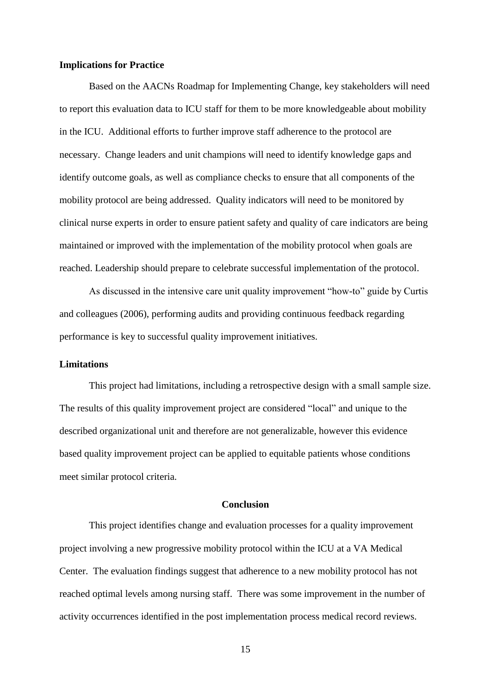#### **Implications for Practice**

Based on the AACNs Roadmap for Implementing Change, key stakeholders will need to report this evaluation data to ICU staff for them to be more knowledgeable about mobility in the ICU. Additional efforts to further improve staff adherence to the protocol are necessary. Change leaders and unit champions will need to identify knowledge gaps and identify outcome goals, as well as compliance checks to ensure that all components of the mobility protocol are being addressed. Quality indicators will need to be monitored by clinical nurse experts in order to ensure patient safety and quality of care indicators are being maintained or improved with the implementation of the mobility protocol when goals are reached. Leadership should prepare to celebrate successful implementation of the protocol.

As discussed in the intensive care unit quality improvement "how-to" guide by Curtis and colleagues (2006), performing audits and providing continuous feedback regarding performance is key to successful quality improvement initiatives.

#### **Limitations**

This project had limitations, including a retrospective design with a small sample size. The results of this quality improvement project are considered "local" and unique to the described organizational unit and therefore are not generalizable, however this evidence based quality improvement project can be applied to equitable patients whose conditions meet similar protocol criteria.

#### **Conclusion**

This project identifies change and evaluation processes for a quality improvement project involving a new progressive mobility protocol within the ICU at a VA Medical Center. The evaluation findings suggest that adherence to a new mobility protocol has not reached optimal levels among nursing staff. There was some improvement in the number of activity occurrences identified in the post implementation process medical record reviews.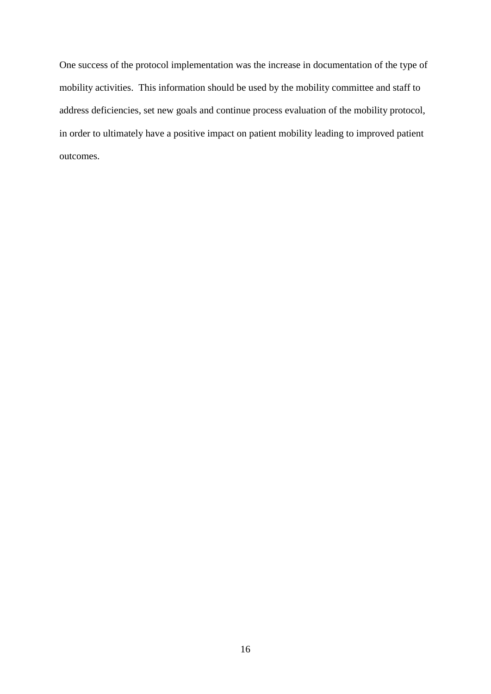One success of the protocol implementation was the increase in documentation of the type of mobility activities. This information should be used by the mobility committee and staff to address deficiencies, set new goals and continue process evaluation of the mobility protocol, in order to ultimately have a positive impact on patient mobility leading to improved patient outcomes.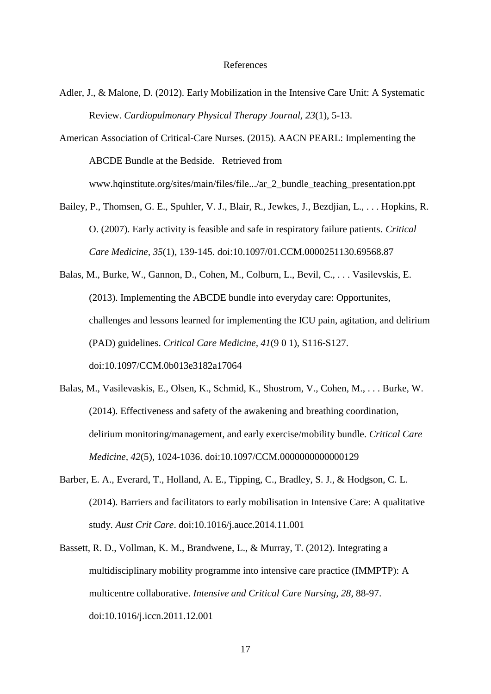#### References

- Adler, J., & Malone, D. (2012). Early Mobilization in the Intensive Care Unit: A Systematic Review. *Cardiopulmonary Physical Therapy Journal, 23*(1), 5-13.
- American Association of Critical-Care Nurses. (2015). AACN PEARL: Implementing the ABCDE Bundle at the Bedside. Retrieved from www.hqinstitute.org/sites/main/files/file.../ar\_2\_bundle\_teaching\_presentation.ppt
- Bailey, P., Thomsen, G. E., Spuhler, V. J., Blair, R., Jewkes, J., Bezdjian, L., . . . Hopkins, R. O. (2007). Early activity is feasible and safe in respiratory failure patients. *Critical Care Medicine, 35*(1), 139-145. doi:10.1097/01.CCM.0000251130.69568.87
- Balas, M., Burke, W., Gannon, D., Cohen, M., Colburn, L., Bevil, C., . . . Vasilevskis, E. (2013). Implementing the ABCDE bundle into everyday care: Opportunites, challenges and lessons learned for implementing the ICU pain, agitation, and delirium (PAD) guidelines. *Critical Care Medicine, 41*(9 0 1), S116-S127. doi:10.1097/CCM.0b013e3182a17064
- Balas, M., Vasilevaskis, E., Olsen, K., Schmid, K., Shostrom, V., Cohen, M., . . . Burke, W. (2014). Effectiveness and safety of the awakening and breathing coordination, delirium monitoring/management, and early exercise/mobility bundle. *Critical Care Medicine, 42*(5), 1024-1036. doi:10.1097/CCM.0000000000000129
- Barber, E. A., Everard, T., Holland, A. E., Tipping, C., Bradley, S. J., & Hodgson, C. L. (2014). Barriers and facilitators to early mobilisation in Intensive Care: A qualitative study. *Aust Crit Care*. doi:10.1016/j.aucc.2014.11.001
- Bassett, R. D., Vollman, K. M., Brandwene, L., & Murray, T. (2012). Integrating a multidisciplinary mobility programme into intensive care practice (IMMPTP): A multicentre collaborative. *Intensive and Critical Care Nursing, 28*, 88-97. doi:10.1016/j.iccn.2011.12.001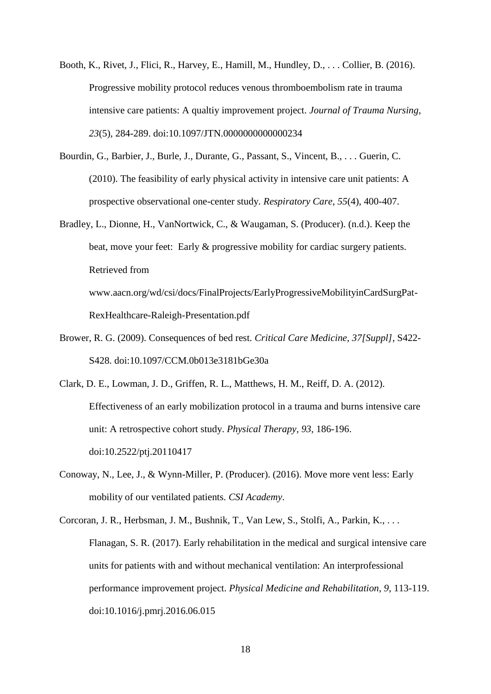- Booth, K., Rivet, J., Flici, R., Harvey, E., Hamill, M., Hundley, D., . . . Collier, B. (2016). Progressive mobility protocol reduces venous thromboembolism rate in trauma intensive care patients: A qualtiy improvement project. *Journal of Trauma Nursing, 23*(5), 284-289. doi:10.1097/JTN.0000000000000234
- Bourdin, G., Barbier, J., Burle, J., Durante, G., Passant, S., Vincent, B., . . . Guerin, C. (2010). The feasibility of early physical activity in intensive care unit patients: A prospective observational one-center study. *Respiratory Care, 55*(4), 400-407.
- Bradley, L., Dionne, H., VanNortwick, C., & Waugaman, S. (Producer). (n.d.). Keep the beat, move your feet: Early & progressive mobility for cardiac surgery patients. Retrieved from www.aacn.org/wd/csi/docs/FinalProjects/EarlyProgressiveMobilityinCardSurgPat-

RexHealthcare-Raleigh-Presentation.pdf

- Brower, R. G. (2009). Consequences of bed rest. *Critical Care Medicine, 37[Suppl]*, S422- S428. doi:10.1097/CCM.0b013e3181bGe30a
- Clark, D. E., Lowman, J. D., Griffen, R. L., Matthews, H. M., Reiff, D. A. (2012). Effectiveness of an early mobilization protocol in a trauma and burns intensive care unit: A retrospective cohort study. *Physical Therapy, 93*, 186-196. doi:10.2522/ptj.20110417
- Conoway, N., Lee, J., & Wynn-Miller, P. (Producer). (2016). Move more vent less: Early mobility of our ventilated patients. *CSI Academy*.
- Corcoran, J. R., Herbsman, J. M., Bushnik, T., Van Lew, S., Stolfi, A., Parkin, K., . . . Flanagan, S. R. (2017). Early rehabilitation in the medical and surgical intensive care units for patients with and without mechanical ventilation: An interprofessional performance improvement project. *Physical Medicine and Rehabilitation, 9*, 113-119. doi:10.1016/j.pmrj.2016.06.015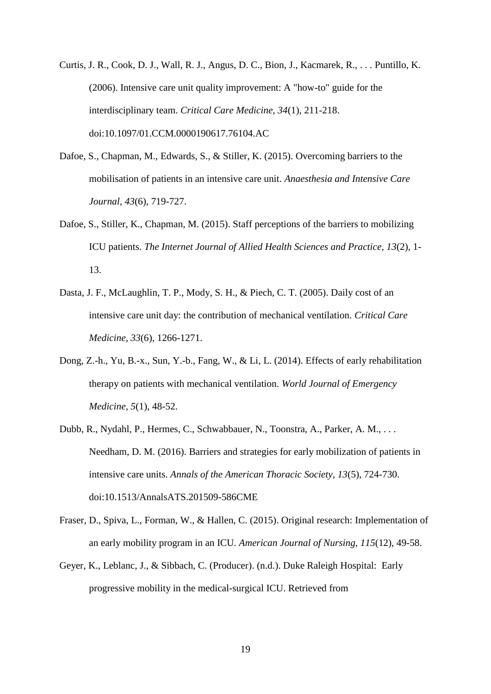Curtis, J. R., Cook, D. J., Wall, R. J., Angus, D. C., Bion, J., Kacmarek, R., . . . Puntillo, K. (2006). Intensive care unit quality improvement: A "how-to" guide for the interdisciplinary team. *Critical Care Medicine, 34*(1), 211-218. doi:10.1097/01.CCM.0000190617.76104.AC

- Dafoe, S., Chapman, M., Edwards, S., & Stiller, K. (2015). Overcoming barriers to the mobilisation of patients in an intensive care unit. *Anaesthesia and Intensive Care Journal, 43*(6), 719-727.
- Dafoe, S., Stiller, K., Chapman, M. (2015). Staff perceptions of the barriers to mobilizing ICU patients. *The Internet Journal of Allied Health Sciences and Practice, 13*(2), 1- 13.
- Dasta, J. F., McLaughlin, T. P., Mody, S. H., & Piech, C. T. (2005). Daily cost of an intensive care unit day: the contribution of mechanical ventilation. *Critical Care Medicine, 33*(6), 1266-1271.
- Dong, Z.-h., Yu, B.-x., Sun, Y.-b., Fang, W., & Li, L. (2014). Effects of early rehabilitation therapy on patients with mechanical ventilation. *World Journal of Emergency Medicine, 5*(1), 48-52.
- Dubb, R., Nydahl, P., Hermes, C., Schwabbauer, N., Toonstra, A., Parker, A. M., . . . Needham, D. M. (2016). Barriers and strategies for early mobilization of patients in intensive care units. *Annals of the American Thoracic Society, 13*(5), 724-730. doi:10.1513/AnnalsATS.201509-586CME
- Fraser, D., Spiva, L., Forman, W., & Hallen, C. (2015). Original research: Implementation of an early mobility program in an ICU. *American Journal of Nursing, 115*(12), 49-58.
- Geyer, K., Leblanc, J., & Sibbach, C. (Producer). (n.d.). Duke Raleigh Hospital: Early progressive mobility in the medical-surgical ICU. Retrieved from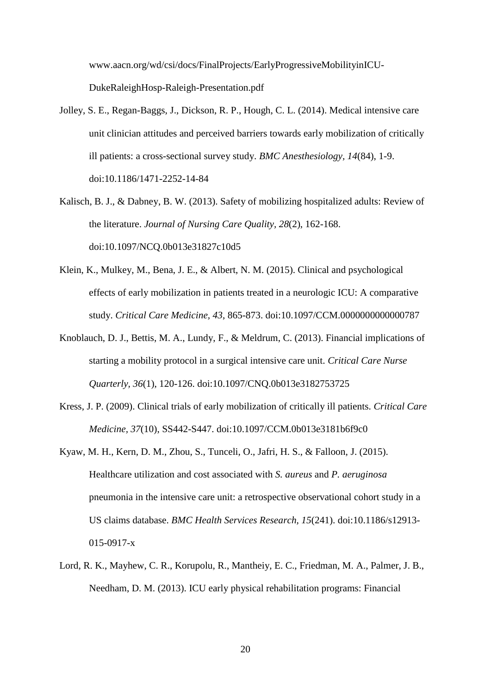www.aacn.org/wd/csi/docs/FinalProjects/EarlyProgressiveMobilityinICU-DukeRaleighHosp-Raleigh-Presentation.pdf

- Jolley, S. E., Regan-Baggs, J., Dickson, R. P., Hough, C. L. (2014). Medical intensive care unit clinician attitudes and perceived barriers towards early mobilization of critically ill patients: a cross-sectional survey study. *BMC Anesthesiology, 14*(84), 1-9. doi:10.1186/1471-2252-14-84
- Kalisch, B. J., & Dabney, B. W. (2013). Safety of mobilizing hospitalized adults: Review of the literature. *Journal of Nursing Care Quality, 28*(2), 162-168. doi:10.1097/NCQ.0b013e31827c10d5
- Klein, K., Mulkey, M., Bena, J. E., & Albert, N. M. (2015). Clinical and psychological effects of early mobilization in patients treated in a neurologic ICU: A comparative study. *Critical Care Medicine, 43*, 865-873. doi:10.1097/CCM.0000000000000787
- Knoblauch, D. J., Bettis, M. A., Lundy, F., & Meldrum, C. (2013). Financial implications of starting a mobility protocol in a surgical intensive care unit. *Critical Care Nurse Quarterly, 36*(1), 120-126. doi:10.1097/CNQ.0b013e3182753725
- Kress, J. P. (2009). Clinical trials of early mobilization of critically ill patients. *Critical Care Medicine, 37*(10), SS442-S447. doi:10.1097/CCM.0b013e3181b6f9c0
- Kyaw, M. H., Kern, D. M., Zhou, S., Tunceli, O., Jafri, H. S., & Falloon, J. (2015). Healthcare utilization and cost associated with *S. aureus* and *P. aeruginosa* pneumonia in the intensive care unit: a retrospective observational cohort study in a US claims database. *BMC Health Services Research, 15*(241). doi:10.1186/s12913- 015-0917-x
- Lord, R. K., Mayhew, C. R., Korupolu, R., Mantheiy, E. C., Friedman, M. A., Palmer, J. B., Needham, D. M. (2013). ICU early physical rehabilitation programs: Financial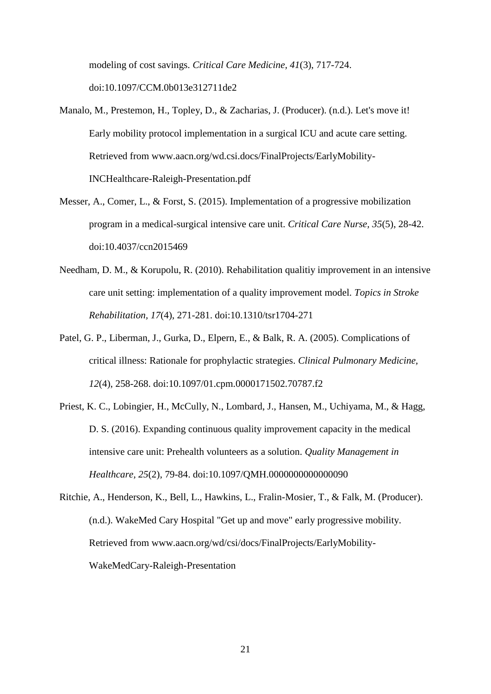modeling of cost savings. *Critical Care Medicine, 41*(3), 717-724. doi:10.1097/CCM.0b013e312711de2

- Manalo, M., Prestemon, H., Topley, D., & Zacharias, J. (Producer). (n.d.). Let's move it! Early mobility protocol implementation in a surgical ICU and acute care setting. Retrieved from www.aacn.org/wd.csi.docs/FinalProjects/EarlyMobility-INCHealthcare-Raleigh-Presentation.pdf
- Messer, A., Comer, L., & Forst, S. (2015). Implementation of a progressive mobilization program in a medical-surgical intensive care unit. *Critical Care Nurse, 35*(5), 28-42. doi:10.4037/ccn2015469
- Needham, D. M., & Korupolu, R. (2010). Rehabilitation qualitiy improvement in an intensive care unit setting: implementation of a quality improvement model. *Topics in Stroke Rehabilitation, 17*(4), 271-281. doi:10.1310/tsr1704-271
- Patel, G. P., Liberman, J., Gurka, D., Elpern, E., & Balk, R. A. (2005). Complications of critical illness: Rationale for prophylactic strategies. *Clinical Pulmonary Medicine, 12*(4), 258-268. doi:10.1097/01.cpm.0000171502.70787.f2
- Priest, K. C., Lobingier, H., McCully, N., Lombard, J., Hansen, M., Uchiyama, M., & Hagg, D. S. (2016). Expanding continuous quality improvement capacity in the medical intensive care unit: Prehealth volunteers as a solution. *Quality Management in Healthcare, 25*(2), 79-84. doi:10.1097/QMH.0000000000000090
- Ritchie, A., Henderson, K., Bell, L., Hawkins, L., Fralin-Mosier, T., & Falk, M. (Producer). (n.d.). WakeMed Cary Hospital "Get up and move" early progressive mobility. Retrieved from www.aacn.org/wd/csi/docs/FinalProjects/EarlyMobility-WakeMedCary-Raleigh-Presentation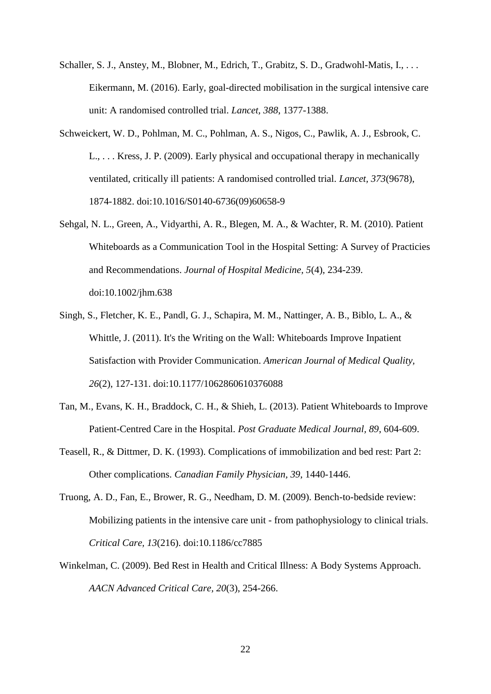- Schaller, S. J., Anstey, M., Blobner, M., Edrich, T., Grabitz, S. D., Gradwohl-Matis, I., ... Eikermann, M. (2016). Early, goal-directed mobilisation in the surgical intensive care unit: A randomised controlled trial. *Lancet, 388*, 1377-1388.
- Schweickert, W. D., Pohlman, M. C., Pohlman, A. S., Nigos, C., Pawlik, A. J., Esbrook, C. L., . . . Kress, J. P. (2009). Early physical and occupational therapy in mechanically ventilated, critically ill patients: A randomised controlled trial. *Lancet, 373*(9678), 1874-1882. doi:10.1016/S0140-6736(09)60658-9
- Sehgal, N. L., Green, A., Vidyarthi, A. R., Blegen, M. A., & Wachter, R. M. (2010). Patient Whiteboards as a Communication Tool in the Hospital Setting: A Survey of Practicies and Recommendations. *Journal of Hospital Medicine, 5*(4), 234-239. doi:10.1002/jhm.638
- Singh, S., Fletcher, K. E., Pandl, G. J., Schapira, M. M., Nattinger, A. B., Biblo, L. A., & Whittle, J. (2011). It's the Writing on the Wall: Whiteboards Improve Inpatient Satisfaction with Provider Communication. *American Journal of Medical Quality, 26*(2), 127-131. doi:10.1177/1062860610376088
- Tan, M., Evans, K. H., Braddock, C. H., & Shieh, L. (2013). Patient Whiteboards to Improve Patient-Centred Care in the Hospital. *Post Graduate Medical Journal, 89*, 604-609.
- Teasell, R., & Dittmer, D. K. (1993). Complications of immobilization and bed rest: Part 2: Other complications. *Canadian Family Physician, 39*, 1440-1446.
- Truong, A. D., Fan, E., Brower, R. G., Needham, D. M. (2009). Bench-to-bedside review: Mobilizing patients in the intensive care unit - from pathophysiology to clinical trials. *Critical Care, 13*(216). doi:10.1186/cc7885
- Winkelman, C. (2009). Bed Rest in Health and Critical Illness: A Body Systems Approach. *AACN Advanced Critical Care, 20*(3), 254-266.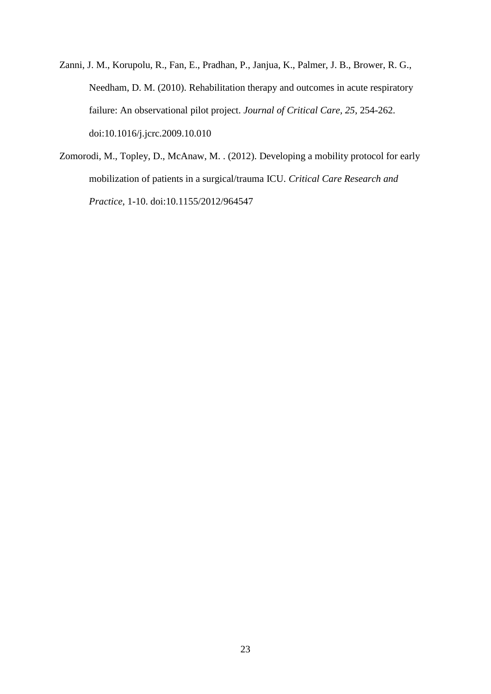- Zanni, J. M., Korupolu, R., Fan, E., Pradhan, P., Janjua, K., Palmer, J. B., Brower, R. G., Needham, D. M. (2010). Rehabilitation therapy and outcomes in acute respiratory failure: An observational pilot project. *Journal of Critical Care, 25*, 254-262. doi:10.1016/j.jcrc.2009.10.010
- Zomorodi, M., Topley, D., McAnaw, M. . (2012). Developing a mobility protocol for early mobilization of patients in a surgical/trauma ICU. *Critical Care Research and Practice*, 1-10. doi:10.1155/2012/964547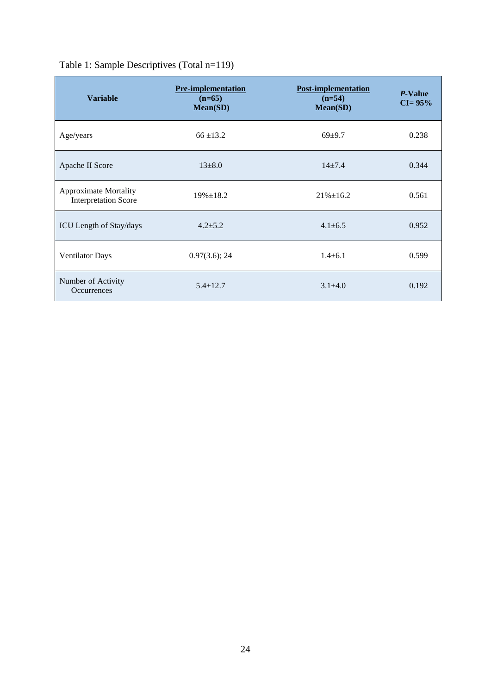## Table 1: Sample Descriptives (Total n=119)

| <b>Variable</b>                                             | <b>Pre-implementation</b><br>$(n=65)$<br>Mean(SD) | <b>Post-implementation</b><br>$(n=54)$<br>Mean(SD) | P-Value<br>$CI = 95%$ |
|-------------------------------------------------------------|---------------------------------------------------|----------------------------------------------------|-----------------------|
| Age/years                                                   | $66 + 13.2$                                       | $69 + 9.7$                                         | 0.238                 |
| Apache II Score                                             | $13+8.0$                                          | $14 + 7.4$                                         | 0.344                 |
| <b>Approximate Mortality</b><br><b>Interpretation Score</b> | $19\% \pm 18.2$                                   | $21\% + 16.2$                                      | 0.561                 |
| ICU Length of Stay/days                                     | $4.2 + 5.2$                                       | $4.1 + 6.5$                                        | 0.952                 |
| <b>Ventilator Days</b>                                      | 0.97(3.6); 24                                     | $1.4 + 6.1$                                        | 0.599                 |
| Number of Activity<br><b>Occurrences</b>                    | $5.4 \pm 12.7$                                    | $3.1 + 4.0$                                        | 0.192                 |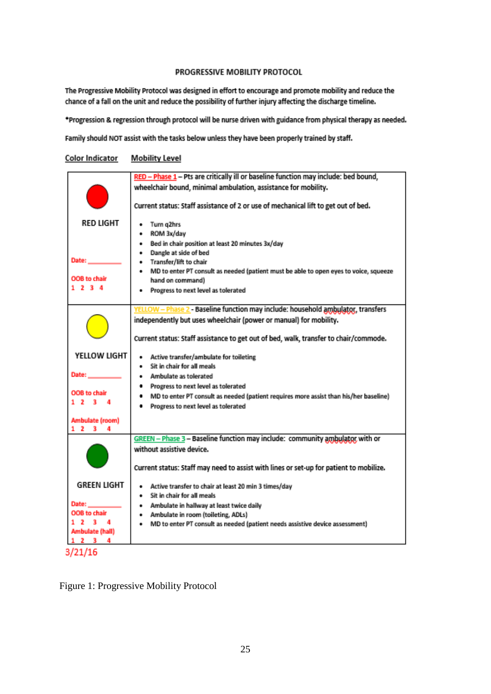#### PROGRESSIVE MOBILITY PROTOCOL

The Progressive Mobility Protocol was designed in effort to encourage and promote mobility and reduce the chance of a fall on the unit and reduce the possibility of further injury affecting the discharge timeline.

\*Progression & regression through protocol will be nurse driven with guidance from physical therapy as needed.

Family should NOT assist with the tasks below unless they have been properly trained by staff.

**Color Indicator Mobility Level** 

|                    | RED - Phase 1 - Pts are critically ill or baseline function may include: bed bound,        |
|--------------------|--------------------------------------------------------------------------------------------|
|                    | wheelchair bound, minimal ambulation, assistance for mobility.                             |
|                    |                                                                                            |
|                    | Current status: Staff assistance of 2 or use of mechanical lift to get out of bed.         |
|                    |                                                                                            |
| RED LIGHT          | Turn q2hrs<br>٠                                                                            |
|                    | ROM 3x/day                                                                                 |
|                    | Bed in chair position at least 20 minutes 3x/day                                           |
|                    | Dangle at side of bed<br>٠                                                                 |
| <b>Date:</b>       | · Transfer/lift to chair                                                                   |
|                    | MD to enter PT consult as needed (patient must be able to open eyes to voice, squeeze      |
| OOB to chair       | hand on command)                                                                           |
| 1234               | Progress to next level as tolerated                                                        |
|                    |                                                                                            |
|                    | W - Phase 2 - Baseline function may include: household ambulator, transfers                |
|                    | independently but uses wheelchair (power or manual) for mobility.                          |
|                    |                                                                                            |
|                    | Current status: Staff assistance to get out of bed, walk, transfer to chair/commode.       |
|                    |                                                                                            |
| YELLOW LIGHT       | Active transfer/ambulate for toileting                                                     |
|                    | Sit in chair for all meals<br>٠                                                            |
| Date:              | • Ambulate as tolerated                                                                    |
|                    | • Progress to next level as tolerated                                                      |
| OOB to chair       | MD to enter PT consult as needed (patient requires more assist than his/her baseline)<br>٠ |
| 1234               | Progress to next level as tolerated<br>٠                                                   |
| Ambulate (room)    |                                                                                            |
| 12<br>з            |                                                                                            |
|                    | GREEN - Phase 3 - Baseline function may include: community ambulator, with or              |
|                    | without assistive device.                                                                  |
|                    |                                                                                            |
|                    | Current status: Staff may need to assist with lines or set-up for patient to mobilize.     |
|                    |                                                                                            |
| <b>GREEN LIGHT</b> | Active transfer to chair at least 20 min 3 times/day                                       |
|                    | · Sit in chair for all meals                                                               |
| Date:              | • Ambulate in hallway at least twice daily                                                 |
| OOB to chair       | Ambulate in room (toileting, ADLs)                                                         |
| $1 \t2 \t3$        | MD to enter PT consult as needed (patient needs assistive device assessment)<br>٠          |
| Ambulate (hall)    |                                                                                            |
| 34                 |                                                                                            |
| 3/21/16            |                                                                                            |

Figure 1: Progressive Mobility Protocol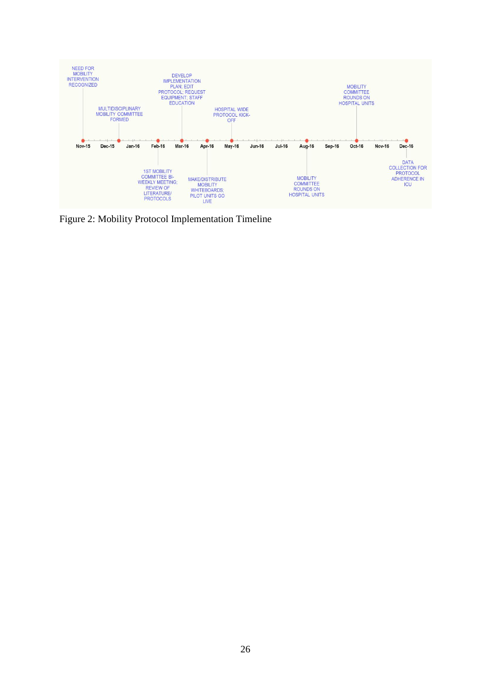

Figure 2: Mobility Protocol Implementation Timeline